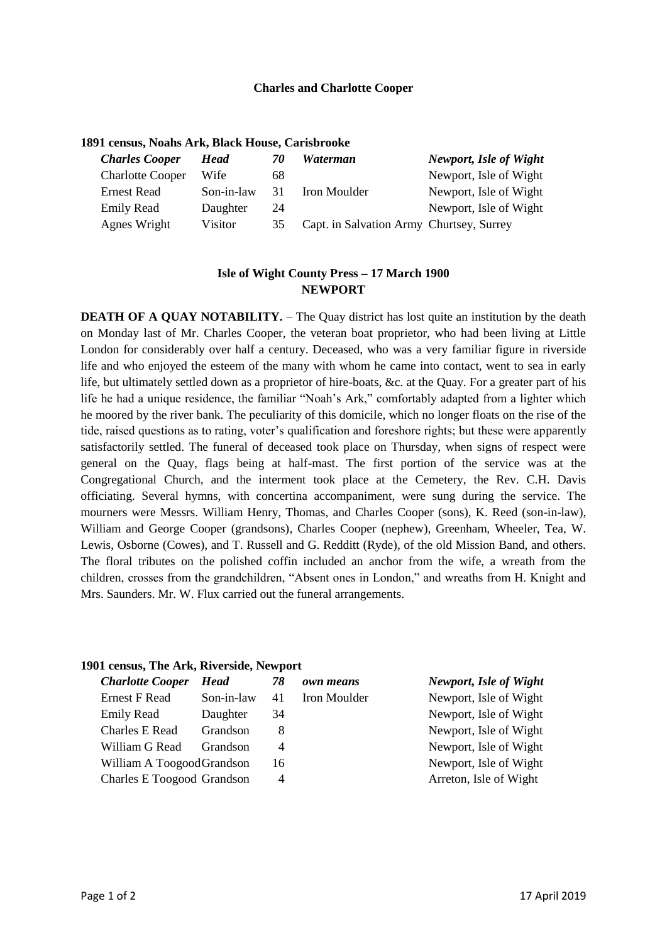## **Charles and Charlotte Cooper**

## **1891 census, Noahs Ark, Black House, Carisbrooke**

| <b>Charles Cooper</b>   | Head       | 70 | Waterman                                 | Newport, Isle of Wight |
|-------------------------|------------|----|------------------------------------------|------------------------|
| <b>Charlotte Cooper</b> | Wife       | 68 |                                          | Newport, Isle of Wight |
| Ernest Read             | Son-in-law | 31 | Iron Moulder                             | Newport, Isle of Wight |
| <b>Emily Read</b>       | Daughter   | 24 |                                          | Newport, Isle of Wight |
| Agnes Wright            | Visitor    | 35 | Capt. in Salvation Army Churtsey, Surrey |                        |

# **Isle of Wight County Press – 17 March 1900 NEWPORT**

**DEATH OF A OUAY NOTABILITY.** – The Quay district has lost quite an institution by the death on Monday last of Mr. Charles Cooper, the veteran boat proprietor, who had been living at Little London for considerably over half a century. Deceased, who was a very familiar figure in riverside life and who enjoyed the esteem of the many with whom he came into contact, went to sea in early life, but ultimately settled down as a proprietor of hire-boats, &c. at the Quay. For a greater part of his life he had a unique residence, the familiar "Noah's Ark," comfortably adapted from a lighter which he moored by the river bank. The peculiarity of this domicile, which no longer floats on the rise of the tide, raised questions as to rating, voter's qualification and foreshore rights; but these were apparently satisfactorily settled. The funeral of deceased took place on Thursday, when signs of respect were general on the Quay, flags being at half-mast. The first portion of the service was at the Congregational Church, and the interment took place at the Cemetery, the Rev. C.H. Davis officiating. Several hymns, with concertina accompaniment, were sung during the service. The mourners were Messrs. William Henry, Thomas, and Charles Cooper (sons), K. Reed (son-in-law), William and George Cooper (grandsons), Charles Cooper (nephew), Greenham, Wheeler, Tea, W. Lewis, Osborne (Cowes), and T. Russell and G. Redditt (Ryde), of the old Mission Band, and others. The floral tributes on the polished coffin included an anchor from the wife, a wreath from the children, crosses from the grandchildren, "Absent ones in London," and wreaths from H. Knight and Mrs. Saunders. Mr. W. Flux carried out the funeral arrangements.

#### **1901 census, The Ark, Riverside, Newport**

| <b>Charlotte Cooper</b>    | Head       | 78 | own means    | <b>Newport, Isle of Wight</b> |
|----------------------------|------------|----|--------------|-------------------------------|
| Ernest F Read              | Son-in-law | 41 | Iron Moulder | Newport, Isle of Wight        |
| <b>Emily Read</b>          | Daughter   | 34 |              | Newport, Isle of Wight        |
| <b>Charles E Read</b>      | Grandson   | 8  |              | Newport, Isle of Wight        |
| William G Read             | Grandson   | 4  |              | Newport, Isle of Wight        |
| William A Toogood Grandson |            | 16 |              | Newport, Isle of Wight        |
| Charles E Toogood Grandson |            | 4  |              | Arreton, Isle of Wight        |
|                            |            |    |              |                               |